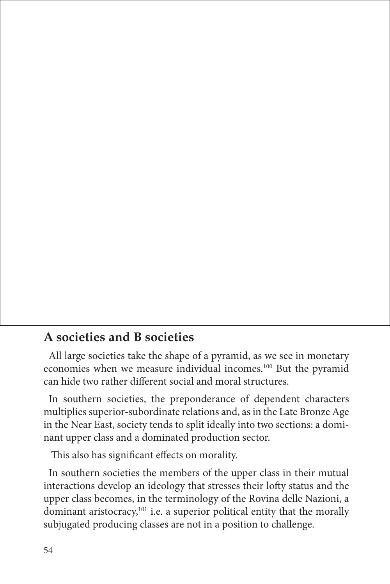## **A societies and B societies**

All large societies take the shape of a pyramid, as we see in monetary economies when we measure individual incomes.100 But the pyramid can hide two rather different social and moral structures.

In southern societies, the preponderance of dependent characters multiplies superior-subordinate relations and, as in the Late Bronze Age in the Near East, society tends to split ideally into two sections: a dominant upper class and a dominated production sector.

This also has significant effects on morality.

In southern societies the members of the upper class in their mutual interactions develop an ideology that stresses their lofty status and the upper class becomes, in the terminology of the Rovina delle Nazioni, a dominant aristocracy,<sup>101</sup> i.e. a superior political entity that the morally subjugated producing classes are not in a position to challenge.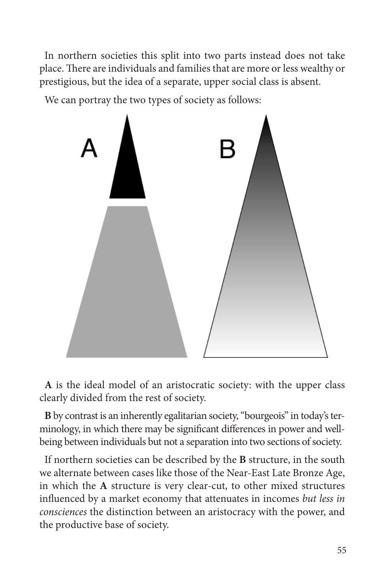In northern societies this split into two parts instead does not take place. There are individuals and families that are more or less wealthy or prestigious, but the idea of a separate, upper social class is absent.

We can portray the two types of society as follows:



**A** is the ideal model of an aristocratic society: with the upper class clearly divided from the rest of society.

**B** by contrast is an inherently egalitarian society, "bourgeois" in today's terminology, in which there may be significant differences in power and wellbeing between individuals but not a separation into two sections of society.

If northern societies can be described by the **B** structure, in the south we alternate between cases like those of the Near-East Late Bronze Age, in which the **A** structure is very clear-cut, to other mixed structures influenced by a market economy that attenuates in incomes *but less in consciences* the distinction between an aristocracy with the power, and the productive base of society.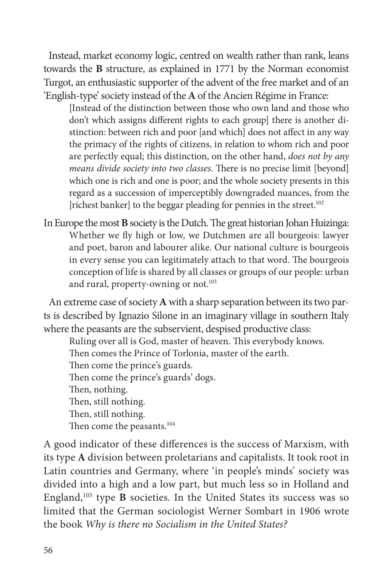Instead, market economy logic, centred on wealth rather than rank, leans towards the **B** structure, as explained in 1771 by the Norman economist Turgot, an enthusiastic supporter of the advent of the free market and of an 'English-type' society instead of the **A** of the Ancien Régime in France:

[Instead of the distinction between those who own land and those who don't which assigns different rights to each group] there is another distinction: between rich and poor [and which] does not affect in any way the primacy of the rights of citizens, in relation to whom rich and poor are perfectly equal; this distinction, on the other hand, *does not by any means divide society into two classes*. There is no precise limit [beyond] which one is rich and one is poor; and the whole society presents in this regard as a succession of imperceptibly downgraded nuances, from the [richest banker] to the beggar pleading for pennies in the street.102

In Europe the most **B** society is the Dutch. The great historian Johan Huizinga: Whether we fly high or low, we Dutchmen are all bourgeois: lawyer and poet, baron and labourer alike. Our national culture is bourgeois in every sense you can legitimately attach to that word. The bourgeois conception of life is shared by all classes or groups of our people: urban and rural, property-owning or not.<sup>103</sup>

An extreme case of society **A** with a sharp separation between its two parts is described by Ignazio Silone in an imaginary village in southern Italy where the peasants are the subservient, despised productive class:

Ruling over all is God, master of heaven. This everybody knows. Then comes the Prince of Torlonia, master of the earth. Then come the prince's guards. Then come the prince's guards' dogs. Then, nothing. Then, still nothing. Then, still nothing. Then come the peasants.<sup>104</sup>

A good indicator of these differences is the success of Marxism, with its type **A** division between proletarians and capitalists. It took root in Latin countries and Germany, where 'in people's minds' society was divided into a high and a low part, but much less so in Holland and England,105 type **B** societies. In the United States its success was so limited that the German sociologist Werner Sombart in 1906 wrote the book *Why is there no Socialism in the United States?*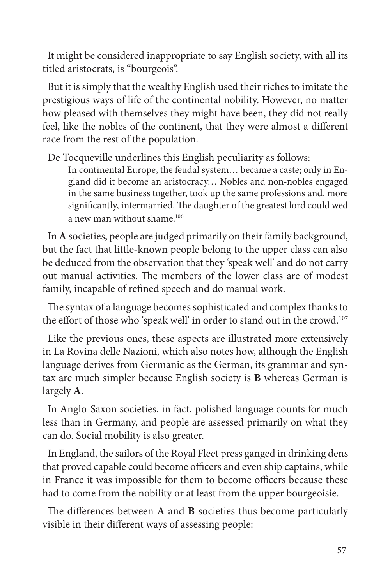It might be considered inappropriate to say English society, with all its titled aristocrats, is "bourgeois".

But it is simply that the wealthy English used their riches to imitate the prestigious ways of life of the continental nobility. However, no matter how pleased with themselves they might have been, they did not really feel, like the nobles of the continent, that they were almost a different race from the rest of the population.

De Tocqueville underlines this English peculiarity as follows:

In continental Europe, the feudal system… became a caste; only in England did it become an aristocracy… Nobles and non-nobles engaged in the same business together, took up the same professions and, more significantly, intermarried. The daughter of the greatest lord could wed a new man without shame.106

In **A** societies, people are judged primarily on their family background, but the fact that little-known people belong to the upper class can also be deduced from the observation that they 'speak well' and do not carry out manual activities. The members of the lower class are of modest family, incapable of refined speech and do manual work.

The syntax of a language becomes sophisticated and complex thanks to the effort of those who 'speak well' in order to stand out in the crowd.<sup>107</sup>

Like the previous ones, these aspects are illustrated more extensively in La Rovina delle Nazioni, which also notes how, although the English language derives from Germanic as the German, its grammar and syntax are much simpler because English society is **B** whereas German is largely **A**.

In Anglo-Saxon societies, in fact, polished language counts for much less than in Germany, and people are assessed primarily on what they can do. Social mobility is also greater.

In England, the sailors of the Royal Fleet press ganged in drinking dens that proved capable could become officers and even ship captains, while in France it was impossible for them to become officers because these had to come from the nobility or at least from the upper bourgeoisie.

The differences between A and B societies thus become particularly visible in their different ways of assessing people: